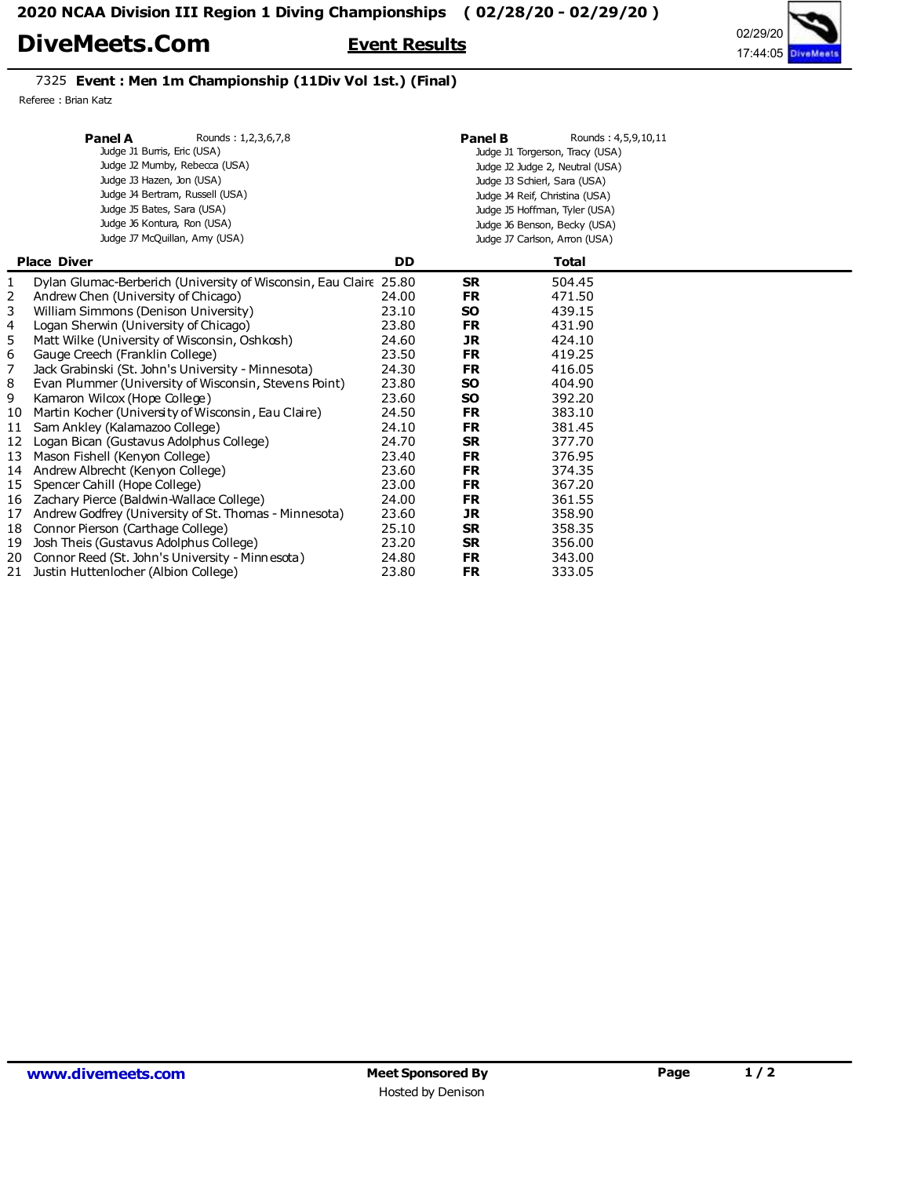## DiveMeets.Com Event Results



## 7325 Event : Men 1m Championship (11Div Vol 1st.) (Final)

Referee : Brian Katz

|    | <b>Panel A</b><br>Rounds: 1,2,3,6,7,8<br>Judge J1 Burris, Eric (USA)<br>Judge J2 Mumby, Rebecca (USA)<br>Judge J3 Hazen, Jon (USA)<br>Judge J4 Bertram, Russell (USA)<br>Judge J5 Bates, Sara (USA)<br>Judge J6 Kontura, Ron (USA)<br>Judge J7 McQuillan, Amy (USA) |           | Panel B   | Rounds: 4,5,9,10,11<br>Judge J1 Torgerson, Tracy (USA)<br>Judge J2 Judge 2, Neutral (USA)<br>Judge J3 Schierl, Sara (USA)<br>Judge J4 Reif, Christina (USA)<br>Judge J5 Hoffman, Tyler (USA)<br>Judge J6 Benson, Becky (USA)<br>Judge J7 Carlson, Arron (USA) |  |
|----|---------------------------------------------------------------------------------------------------------------------------------------------------------------------------------------------------------------------------------------------------------------------|-----------|-----------|---------------------------------------------------------------------------------------------------------------------------------------------------------------------------------------------------------------------------------------------------------------|--|
|    | <b>Place Diver</b>                                                                                                                                                                                                                                                  | <b>DD</b> |           | <b>Total</b>                                                                                                                                                                                                                                                  |  |
| 1  | Dylan Glumac-Berberich (University of Wisconsin, Eau Claire 25.80                                                                                                                                                                                                   |           | <b>SR</b> | 504.45                                                                                                                                                                                                                                                        |  |
| 2  | Andrew Chen (University of Chicago)                                                                                                                                                                                                                                 | 24.00     | <b>FR</b> | 471.50                                                                                                                                                                                                                                                        |  |
| 3  | William Simmons (Denison University)                                                                                                                                                                                                                                | 23.10     | <b>SO</b> | 439.15                                                                                                                                                                                                                                                        |  |
| 4  | Logan Sherwin (University of Chicago)                                                                                                                                                                                                                               | 23.80     | <b>FR</b> | 431.90                                                                                                                                                                                                                                                        |  |
| 5  | Matt Wilke (University of Wisconsin, Oshkosh)                                                                                                                                                                                                                       | 24.60     | <b>JR</b> | 424.10                                                                                                                                                                                                                                                        |  |
| 6  | Gauge Creech (Franklin College)                                                                                                                                                                                                                                     | 23.50     | FR        | 419.25                                                                                                                                                                                                                                                        |  |
| 7  | Jack Grabinski (St. John's University - Minnesota)                                                                                                                                                                                                                  | 24.30     | <b>FR</b> | 416.05                                                                                                                                                                                                                                                        |  |
| 8  | Evan Plummer (University of Wisconsin, Stevens Point)                                                                                                                                                                                                               | 23.80     | <b>SO</b> | 404.90                                                                                                                                                                                                                                                        |  |
| 9  | Kamaron Wilcox (Hope College)                                                                                                                                                                                                                                       | 23.60     | <b>SO</b> | 392.20                                                                                                                                                                                                                                                        |  |
| 10 | Martin Kocher (University of Wisconsin, Eau Claire)                                                                                                                                                                                                                 | 24.50     | <b>FR</b> | 383.10                                                                                                                                                                                                                                                        |  |
| 11 | Sam Ankley (Kalamazoo College)                                                                                                                                                                                                                                      | 24.10     | <b>FR</b> | 381.45                                                                                                                                                                                                                                                        |  |
| 12 | Logan Bican (Gustavus Adolphus College)                                                                                                                                                                                                                             | 24.70     | <b>SR</b> | 377.70                                                                                                                                                                                                                                                        |  |
| 13 | Mason Fishell (Kenyon College)                                                                                                                                                                                                                                      | 23.40     | <b>FR</b> | 376.95                                                                                                                                                                                                                                                        |  |
|    | 14 Andrew Albrecht (Kenyon College)                                                                                                                                                                                                                                 | 23.60     | <b>FR</b> | 374.35                                                                                                                                                                                                                                                        |  |
| 15 | Spencer Cahill (Hope College)                                                                                                                                                                                                                                       | 23.00     | <b>FR</b> | 367.20                                                                                                                                                                                                                                                        |  |
|    | 16 Zachary Pierce (Baldwin-Wallace College)                                                                                                                                                                                                                         | 24.00     | <b>FR</b> | 361.55                                                                                                                                                                                                                                                        |  |
| 17 | Andrew Godfrey (University of St. Thomas - Minnesota)                                                                                                                                                                                                               | 23.60     | <b>JR</b> | 358.90                                                                                                                                                                                                                                                        |  |
| 18 | Connor Pierson (Carthage College)                                                                                                                                                                                                                                   | 25.10     | <b>SR</b> | 358.35                                                                                                                                                                                                                                                        |  |
| 19 | Josh Theis (Gustavus Adolphus College)                                                                                                                                                                                                                              | 23.20     | <b>SR</b> | 356.00                                                                                                                                                                                                                                                        |  |
|    | 20 Connor Reed (St. John's University - Minnesota)                                                                                                                                                                                                                  | 24.80     | <b>FR</b> | 343.00                                                                                                                                                                                                                                                        |  |
|    | 21 Justin Huttenlocher (Albion College)                                                                                                                                                                                                                             | 23.80     | <b>FR</b> | 333.05                                                                                                                                                                                                                                                        |  |